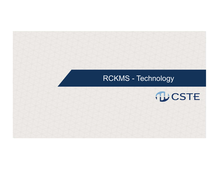### RCKMS - Technology

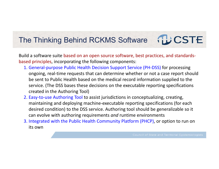### The Thinking Behind RCKMS Software

Build a software suite based on an open source software, best practices, and standards‐ based principles, incorporating the following components:

- 1. General‐purpose Public Health Decision Support Service (PH‐DSS) for processing ongoing, real‐time requests that can determine whether or not a case report should be sent to Public Health based on the medical record information supplied to the service. (The DSS bases these decisions on the executable reporting specifications created in the Authoring Tool)
- 2. Easy-to-use Authoring Tool to assist jurisdictions in conceptualizing, creating, maintaining and deploying machine‐executable reporting specifications (for each desired condition) to the DSS service. Authoring tool should be generalizable so it can evolve with authoring requirements *and* runtime environments
- 3. Integrated with the Public Health Community Platform (PHCP), or option to run on its own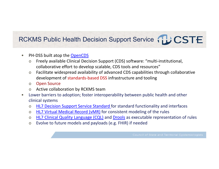## RCKMS Public Health Decision Support Service TLLCSTE

- $\bullet$ PH-DSS built atop the OpenCDS
	- o Freely available Clinical Decision Support (CDS) software: "multi‐institutional, collaborative effort to develop scalable, CDS tools and resources"
	- o Facilitate widespread availability of advanced CDS capabilities through collaborative development of standards‐based DSS infrastructure and tooling
	- oOpen Source
	- oActive collaboration by RCKMS team
- • Lower barriers to adoption; foster interoperability between public health and other clinical systems
	- oHL7 Decision Support Service Standard for standard functionality and interfaces
	- oHL7 Virtual Medical Record (vMR) for consistent modeling of the rules
	- oHL7 Clinical Quality Language (CQL) and Drools as executable representation of rules
	- oEvolve to future models and payloads (e.g. FHIR) if needed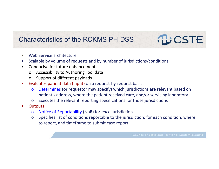### Characteristics of the RCKMS PH-DSS

- •Web Service architecture
- $\bullet$ Scalable by volume of requests and by number of jurisdictions/conditions
- $\bullet$  Conducive for future enhancements
	- <sup>o</sup> Accessibility to Authoring Tool data
	- <sup>o</sup> Support of different payloads
- $\bullet$  Evaluates patient data (input) on a request‐by‐request basis
	- <sup>o</sup> Determines (or requestor may specify) which jurisdictions are relevant based on patient's address, where the patient received care, and/or servicing laboratory
	- <sup>o</sup> Executes the relevant reporting specifications for those jurisdictions
- •**Outputs** 
	- <sup>o</sup> Notice of Reportability (NoR) for *each* jurisdiction
	- <sup>o</sup> Specifies list of conditions reportable to the jurisdiction: for each condition, where to report, and timeframe to submit case report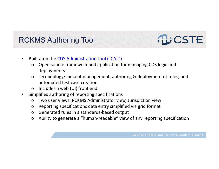### RCKMS Authoring Tool

### •Built atop the CDS Administration Tool ("CAT")

- <sup>o</sup> Open source framework and application for managing CDS logic and deployments
- <sup>o</sup> Terminology/concept management, authoring & deployment of rules, and automated test case creation
- <sup>o</sup> Includes a web (UI) front end
- • Simplifies authoring of reporting specifications
	- <sup>o</sup> Two user views: RCKMS Administrator view, Jurisdiction view
	- <sup>o</sup> Reporting specifications data entry simplified via grid format
	- <sup>o</sup> Generated rules in a standards‐based output
	- <sup>o</sup> Ability to generate a "human‐readable" view of any reporting specification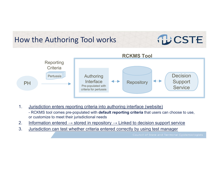### How the Authoring Tool works



- 1. Jurisdiction enters reporting criteria into authoring interface (website) - RCKMS tool comes pre-populated with **default reporting criteria** that users can choose to use, or customize to meet their jurisdictional needs
- 2. Information entered  $\rightarrow$  stored in repository  $\rightarrow$  Linked to decision support service
- 3. Jurisdiction can test whether criteria entered correctly by using test manager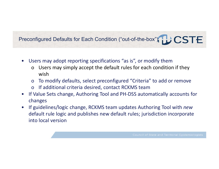### Preconfigured Defaults for Each Condition ("out-of-the-box") LCSTE

- $\bullet$  Users may adopt reporting specifications "as is", or modify them
	- <sup>o</sup> Users may simply accept the default rules for each condition if they wish
	- <sup>o</sup> To modify defaults, select preconfigured "Criteria" to add or remove
	- <sup>o</sup> If additional criteria desired, contact RCKMS team
- $\bullet$  If Value Sets change, Authoring Tool and PH‐DSS automatically accounts for changes
- $\bullet$  If guidelines/logic change, RCKMS team updates Authoring Tool with *new*  default rule logic and publishes new default rules; jurisdiction incorporate into local version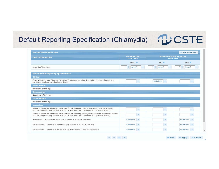## Default Reporting Specification (Chlamydia) 12 CSTE

B Save v Apply x Cancel

| <b>Manage Default Logic Sets</b>                                                                                                                                                                          |                                           |                                                         | + Add Logic Set                        |  |
|-----------------------------------------------------------------------------------------------------------------------------------------------------------------------------------------------------------|-------------------------------------------|---------------------------------------------------------|----------------------------------------|--|
| <b>Logic Set Properties</b>                                                                                                                                                                               | <b>Lab Reporting</b><br><b>Logic Sets</b> | <b>Provider/Facility Reporting</b><br><b>Logic Sets</b> |                                        |  |
|                                                                                                                                                                                                           | Lab1 音                                    | Dx 音                                                    | Lab a                                  |  |
| <b>Reporting Timeframe</b>                                                                                                                                                                                | $\div$<br>day(s)<br>٠                     | ÷<br>day(s)                                             | ÷<br>day(s)<br>$\overline{\mathbf{3}}$ |  |
| <b>Define Default Reporting Specifications</b>                                                                                                                                                            |                                           |                                                         |                                        |  |
| <b>Clinical</b>                                                                                                                                                                                           |                                           |                                                         |                                        |  |
| Chlamydia (i.e., as a Diagnosis or active Problem or mentioned in text as a cause of death or a<br>significant condition contributing to death)                                                           |                                           | Sufficient *                                            |                                        |  |
| <b>Death Record</b>                                                                                                                                                                                       |                                           |                                                         |                                        |  |
| No criteria of this type                                                                                                                                                                                  |                                           |                                                         |                                        |  |
| <b>Demographic</b>                                                                                                                                                                                        |                                           |                                                         |                                        |  |
| No criteria of this type                                                                                                                                                                                  |                                           |                                                         |                                        |  |
| <b>Epidemiologic</b>                                                                                                                                                                                      |                                           |                                                         |                                        |  |
| No criteria of this type                                                                                                                                                                                  |                                           |                                                         |                                        |  |
| <b>Laboratory</b>                                                                                                                                                                                         |                                           |                                                         |                                        |  |
| All result values for laboratory tests specific for detecting chlamydia species organisms, nucleic<br>acid, or antigen by any method in a clinical specimen (i.e., 'negative' and 'positive' results)     |                                           |                                                         |                                        |  |
| All result values for laboratory tests specific for detecting chlamydia trachomatis organisms, nucleic<br>acid, or antigen by any method in a clinical specimen (i.e., 'negative' and 'positive' results) |                                           |                                                         |                                        |  |
| Isolation of C. trachomatis by culture methods in a clinical specimen                                                                                                                                     | Sufficient                                |                                                         | Sufficient                             |  |
| Detection of C. trachomatis antigen by any method in a clinical specimen                                                                                                                                  | Sufficient                                | $\overline{\phantom{a}}$                                | Sufficient                             |  |
|                                                                                                                                                                                                           |                                           |                                                         | Sufficient <b>v</b>                    |  |

 $\left\| \left\{ \mathbf{d} \right\} \right\| = \left\| \mathbf{d} \mathbf{d} \right\| = \left\| \mathbf{d} \mathbf{b} \right\| = \left\| \mathbf{b} \right\|$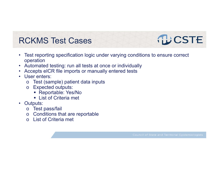## RCKMS Test Cases

- • Test reporting specification logic under varying conditions to ensure correct operation
- $\bullet$ Automated testing: run all tests at once or individually
- $\bullet$ Accepts eICR file imports or manually entered tests
- • User enters:
	- oTest (sample) patient data inputs
	- o Expected outputs:
		- Reportable: Yes/No
		- List of Criteria met
- Outputs:
	- o Test pass/fail
	- o Conditions that are reportable
	- o List of Criteria met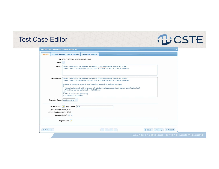### Test Case Editor

| <b>RCKMS Test Case Editor - [Save Option 3]</b> |                                                                                                        |                                                                |                                                                                                                                                                                                                                                                                                                                                                                                               |                                                  |                 |  |
|-------------------------------------------------|--------------------------------------------------------------------------------------------------------|----------------------------------------------------------------|---------------------------------------------------------------------------------------------------------------------------------------------------------------------------------------------------------------------------------------------------------------------------------------------------------------------------------------------------------------------------------------------------------------|--------------------------------------------------|-----------------|--|
| <b>Details</b>                                  | <b>Jurisdiction and Criteria Details</b>                                                               | <b>Test Case Results</b>                                       |                                                                                                                                                                                                                                                                                                                                                                                                               |                                                  |                 |  |
|                                                 | ID: 702c7510883491ee4d9410661ab1b405                                                                   |                                                                |                                                                                                                                                                                                                                                                                                                                                                                                               |                                                  |                 |  |
| Skip?                                           |                                                                                                        |                                                                |                                                                                                                                                                                                                                                                                                                                                                                                               |                                                  |                 |  |
|                                                 |                                                                                                        |                                                                | <b>Name:</b> Default > Pertussis > Lab Reporter > Criteria > Reportable Positive > Expected = Yes ><br>Criteria: Isolation of Bordetella pertussis virus by culture methods in a clinical specimen                                                                                                                                                                                                            |                                                  |                 |  |
|                                                 | and<br>2) [VS:Lab result value (Pertussis)]                                                            | <patient had="" lab="" performed="RCKMSQ12" test=""></patient> | <b>Description:</b> Default > Pertussis > Lab Reporter > Criteria > Reportable Positive > Expected = Yes ><br>Criteria: Isolation of Bordetella pertussis virus by culture methods in a clinical specimen<br>Isolation of Bordetella pertussis virus by culture methods in a clinical specimen<br>1) Patient has lab result with (test name of [VS: Bordetella pertussis virus Organism Identification Test]) |                                                  |                 |  |
|                                                 | $\langle$ Lab Result == RCKMS1d><br>Reporter Type: Lab Reporting<br>Offset Based? July Age Offset: 21y |                                                                |                                                                                                                                                                                                                                                                                                                                                                                                               |                                                  |                 |  |
| Date of Birth: 06/20/1995                       |                                                                                                        |                                                                |                                                                                                                                                                                                                                                                                                                                                                                                               |                                                  |                 |  |
| <b>Execution Date: 06/20/2016</b>               | Gender: Male (M) P x                                                                                   |                                                                |                                                                                                                                                                                                                                                                                                                                                                                                               |                                                  |                 |  |
|                                                 | Reportable?                                                                                            |                                                                |                                                                                                                                                                                                                                                                                                                                                                                                               |                                                  |                 |  |
| <b>P</b> Run Test                               |                                                                                                        |                                                                | THE RHO PRESS                                                                                                                                                                                                                                                                                                                                                                                                 | $\vee$ Apply<br><b>日 Save</b>                    | <b>x</b> Cancel |  |
|                                                 |                                                                                                        |                                                                |                                                                                                                                                                                                                                                                                                                                                                                                               | Council of State and Territorial Epidemiologists |                 |  |

**NUCSTE**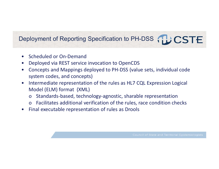## Deployment of Reporting Specification to PH-DSS TLCSTE

- $\bullet$ Scheduled or On‐Demand
- $\bullet$ Deployed via REST service invocation to OpenCDS
- $\bullet$  Concepts and Mappings deployed to PH‐DSS (value sets, individual code system codes, and concepts)
- $\bullet$  Intermediate representation of the rules as HL7 CQL Expression Logical Model (ELM) format (XML)
	- <sup>o</sup> Standards‐based, technology‐agnostic, sharable representation
	- <sup>o</sup> Facilitates additional verification of the rules, race condition checks
- Final executable representation of rules as Drools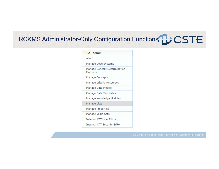## RCKMS Administrator-Only Configuration Functions **DCSTE**

| $\overline{\phantom{a}}$ CAT Admin      |
|-----------------------------------------|
| About                                   |
| Manage Code Systems                     |
| Manage Concept Determination<br>Methods |
| Manage Concepts                         |
| Manage Criteria Resources               |
| Manage Data Models                      |
| Manage Data Templates                   |
| Manage Knowledge Modules                |
| Manage Lists                            |
| Manage Properties                       |
| Manage Value Sets                       |
| <b>Internal CAT User Editor</b>         |
| <b>Internal CAT Security Editor</b>     |
|                                         |